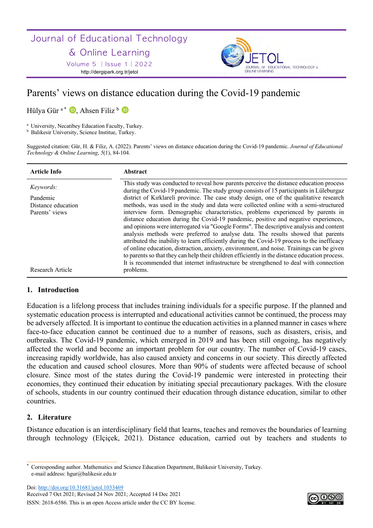Journal of Educational Technology

# & Online Learning

Volume 5 | Issue 1 | 2022 http://dergipark.org.tr/jetol



# Parents' views on distance education during the Covid-19 pandemic

Hülya Gür<sup>a\*</sup> D, Ahsen Filiz b D

<sup>a</sup> University, Necatibey Education Faculty, Turkey.

**b** Balıkesir University, Science Institue, Turkey.

Suggested citation: Gür, H. & Filiz, A. (2022). Parents' views on distance education during the Covid-19 pandemic. *Journal of Educational Technology & Online Learning*, *5*(1), 84-104.

| <b>Article Info</b> | Abstract                                                                                                                                                                                                                                                                                                                                                                                                                                                                                                                                                                                                                                                                                                                                      |
|---------------------|-----------------------------------------------------------------------------------------------------------------------------------------------------------------------------------------------------------------------------------------------------------------------------------------------------------------------------------------------------------------------------------------------------------------------------------------------------------------------------------------------------------------------------------------------------------------------------------------------------------------------------------------------------------------------------------------------------------------------------------------------|
| Keywords:           | This study was conducted to reveal how parents perceive the distance education process<br>during the Covid-19 pandemic. The study group consists of 15 participants in Lüleburgaz                                                                                                                                                                                                                                                                                                                                                                                                                                                                                                                                                             |
| Pandemic            | district of Kırklareli province. The case study design, one of the qualitative research                                                                                                                                                                                                                                                                                                                                                                                                                                                                                                                                                                                                                                                       |
| Distance education  | methods, was used in the study and data were collected online with a semi-structured                                                                                                                                                                                                                                                                                                                                                                                                                                                                                                                                                                                                                                                          |
| Parents' views      | interview form. Demographic characteristics, problems experienced by parents in<br>distance education during the Covid-19 pandemic, positive and negative experiences,<br>and opinions were interrogated via "Google Forms". The descriptive analysis and content<br>analysis methods were preferred to analyse data. The results showed that parents<br>attributed the inability to learn efficiently during the Covid-19 process to the inefficacy<br>of online education, distraction, anxiety, environment, and noise. Trainings can be given<br>to parents so that they can help their children efficiently in the distance education process.<br>It is recommended that internet infrastructure be strengthened to deal with connection |
| Research Article    | problems.                                                                                                                                                                                                                                                                                                                                                                                                                                                                                                                                                                                                                                                                                                                                     |

# **1. Introduction**

Education is a lifelong process that includes training individuals for a specific purpose. If the planned and systematic education process is interrupted and educational activities cannot be continued, the process may be adversely affected. It is important to continue the education activities in a planned manner in cases where face-to-face education cannot be continued due to a number of reasons, such as disasters, crisis, and outbreaks. The Covid-19 pandemic, which emerged in 2019 and has been still ongoing, has negatively affected the world and become an important problem for our country. The number of Covid-19 cases, increasing rapidly worldwide, has also caused anxiety and concerns in our society. This directly affected the education and caused school closures. More than 90% of students were affected because of school closure. Since most of the states during the Covid-19 pandemic were interested in protecting their economies, they continued their education by initiating special precautionary packages. With the closure of schools, students in our country continued their education through distance education, similar to other countries.

# **2. Literature**

Distance education is an interdisciplinary field that learns, teaches and removes the boundaries of learning through technology (Elçiçek, 2021). Distance education, carried out by teachers and students to

Doi: http://doi.org/10.31681/jetol.1033469

Received 7 Oct 2021; Revised 24 Nov 2021; Accepted 14 Dec 2021 ISSN: 2618-6586. This is an open Access article under the CC BY license.



<sup>\*</sup> Corresponding author. Mathematics and Science Education Department, Balikesir University, Turkey. e-mail address: hgur@balikesir.edu.tr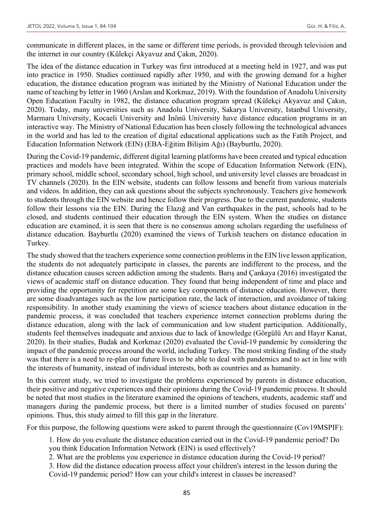communicate in different places, in the same or different time periods, is provided through television and the internet in our country (Külekçi Akyavuz and Çakın, 2020).

The idea of the distance education in Turkey was first introduced at a meeting held in 1927, and was put into practice in 1950. Studies continued rapidly after 1950, and with the growing demand for a higher education, the distance education program was initiated by the Ministry of National Education under the name of teaching by letter in 1960 (Arslan and Korkmaz, 2019). With the foundation of Anadolu University Open Education Faculty in 1982, the distance education program spread (Külekçi Akyavuz and Çakın, 2020). Today, many universities such as Anadolu University, Sakarya University, Istanbul University, Marmara University, Kocaeli University and İnönü University have distance education programs in an interactive way. The Ministry of National Education has been closely following the technological advances in the world and has led to the creation of digital educational applications such as the Fatih Project, and Education Information Network (EIN) (EBA-Eğitim Bilişim Ağı) (Bayburtlu, 2020).

During the Covid-19 pandemic, different digital learning platforms have been created and typical education practices and models have been integrated. Within the scope of Education Information Network (EIN), primary school, middle school, secondary school, high school, and university level classes are broadcast in TV channels (2020). In the EIN website, students can follow lessons and benefit from various materials and videos. In addition, they can ask questions about the subjects synchronously. Teachers give homework to students through the EIN website and hence follow their progress. Due to the current pandemic, students follow their lessons via the EIN. During the Elazığ and Van earthquakes in the past, schools had to be closed, and students continued their education through the EIN system. When the studies on distance education are examined, it is seen that there is no consensus among scholars regarding the usefulness of distance education. Bayburtlu (2020) examined the views of Turkish teachers on distance education in Turkey.

The study showed that the teachers experience some connection problems in the EIN live lesson application, the students do not adequately participate in classes, the parents are indifferent to the process, and the distance education causes screen addiction among the students. Barış and Çankaya (2016) investigated the views of academic staff on distance education. They found that being independent of time and place and providing the opportunity for repetition are some key components of distance education. However, there are some disadvantages such as the low participation rate, the lack of interaction, and avoidance of taking responsibility. In another study examining the views of science teachers about distance education in the pandemic process, it was concluded that teachers experience internet connection problems during the distance education, along with the lack of communication and low student participation. Additionally, students feel themselves inadequate and anxious due to lack of knowledge (Görgülü Arı and Hayır Kanat, 2020). In their studies, Budak and Korkmaz (2020) evaluated the Covid-19 pandemic by considering the impact of the pandemic process around the world, including Turkey. The most striking finding of the study was that there is a need to re-plan our future lives to be able to deal with pandemics and to act in line with the interests of humanity, instead of individual interests, both as countries and as humanity.

In this current study, we tried to investigate the problems experienced by parents in distance education, their positive and negative experiences and their opinions during the Covid-19 pandemic process. It should be noted that most studies in the literature examined the opinions of teachers, students, academic staff and managers during the pandemic process, but there is a limited number of studies focused on parents' opinions. Thus, this study aimed to fill this gap in the literature.

For this purpose, the following questions were asked to parent through the questionnaire (Cov19MSPIF):

1. How do you evaluate the distance education carried out in the Covid-19 pandemic period? Do you think Education Information Network (EIN) is used effectively?

2. What are the problems you experience in distance education during the Covid-19 period?

3. How did the distance education process affect your children's interest in the lesson during the Covid-19 pandemic period? How can your child's interest in classes be increased?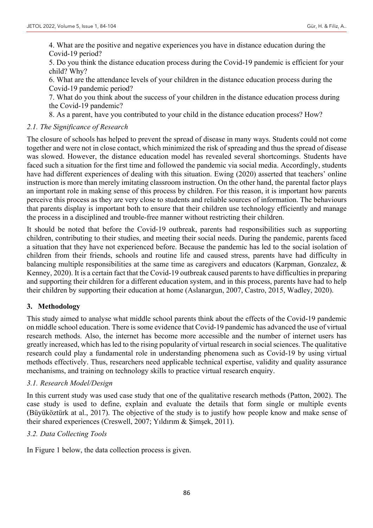4. What are the positive and negative experiences you have in distance education during the Covid-19 period?

5. Do you think the distance education process during the Covid-19 pandemic is efficient for your child? Why?

6. What are the attendance levels of your children in the distance education process during the Covid-19 pandemic period?

7. What do you think about the success of your children in the distance education process during the Covid-19 pandemic?

8. As a parent, have you contributed to your child in the distance education process? How?

### *2.1. The Significance of Research*

The closure of schools has helped to prevent the spread of disease in many ways. Students could not come together and were not in close contact, which minimized the risk of spreading and thus the spread of disease was slowed. However, the distance education model has revealed several shortcomings. Students have faced such a situation for the first time and followed the pandemic via social media. Accordingly, students have had different experiences of dealing with this situation. Ewing (2020) asserted that teachers' online instruction is more than merely imitating classroom instruction. On the other hand, the parental factor plays an important role in making sense of this process by children. For this reason, it is important how parents perceive this process as they are very close to students and reliable sources of information. The behaviours that parents display is important both to ensure that their children use technology efficiently and manage the process in a disciplined and trouble-free manner without restricting their children.

It should be noted that before the Covid-19 outbreak, parents had responsibilities such as supporting children, contributing to their studies, and meeting their social needs. During the pandemic, parents faced a situation that they have not experienced before. Because the pandemic has led to the social isolation of children from their friends, schools and routine life and caused stress, parents have had difficulty in balancing multiple responsibilities at the same time as caregivers and educators (Karpman, Gonzalez, & Kenney, 2020). It is a certain fact that the Covid-19 outbreak caused parents to have difficulties in preparing and supporting their children for a different education system, and in this process, parents have had to help their children by supporting their education at home (Aslanargun, 2007, Castro, 2015, Wadley, 2020).

# **3. Methodology**

This study aimed to analyse what middle school parents think about the effects of the Covid-19 pandemic on middle school education. There is some evidence that Covid-19 pandemic has advanced the use of virtual research methods. Also, the internet has become more accessible and the number of internet users has greatly increased, which has led to the rising popularity of virtual research in social sciences. The qualitative research could play a fundamental role in understanding phenomena such as Covid-19 by using virtual methods effectively. Thus, researchers need applicable technical expertise, validity and quality assurance mechanisms, and training on technology skills to practice virtual research enquiry.

# *3.1. Research Model/Design*

In this current study was used case study that one of the qualitative research methods (Patton, 2002). The case study is used to define, explain and evaluate the details that form single or multiple events (Büyüköztürk at al., 2017). The objective of the study is to justify how people know and make sense of their shared experiences (Creswell, 2007; Yıldırım & Şimşek, 2011).

# *3.2. Data Collecting Tools*

In Figure 1 below, the data collection process is given.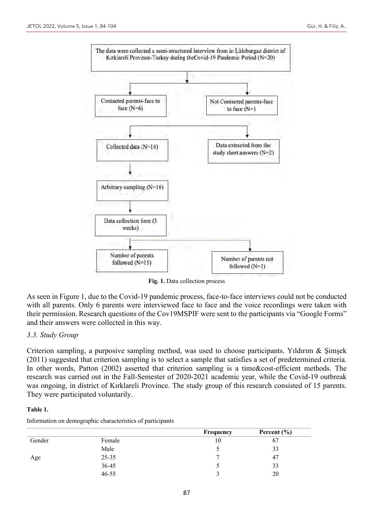

**Fig. 1.** Data collection process

As seen in Figure 1, due to the Covid-19 pandemic process, face-to-face interviews could not be conducted with all parents. Only 6 parents were interviewed face to face and the voice recordings were taken with their permission. Research questions of the Cov19MSPIF were sent to the participants via "Google Forms" and their answers were collected in this way.

#### *3.3. Study Group*

Criterion sampling, a purposive sampling method, was used to choose participants. Yıldırım & Şimşek (2011) suggested that criterion sampling is to select a sample that satisfies a set of predetermined criteria. In other words, Patton (2002) asserted that criterion sampling is a time&cost-efficient methods. The research was carried out in the Fall-Semester of 2020-2021 academic year, while the Covid-19 outbreak was ongoing, in district of Kırklareli Province. The study group of this research consisted of 15 parents. They were participated voluntarily.

#### **Table 1.**

| Information on demographic characteristics of participants |  |
|------------------------------------------------------------|--|
|                                                            |  |

|        |           | Frequency | Percent $(\% )$ |  |
|--------|-----------|-----------|-----------------|--|
| Gender | Female    | 10        | 67              |  |
|        | Male      | J         | 33              |  |
| Age    | $25 - 35$ | -         | 47              |  |
|        | 36-45     |           | 33              |  |
|        | $46 - 55$ |           | 20              |  |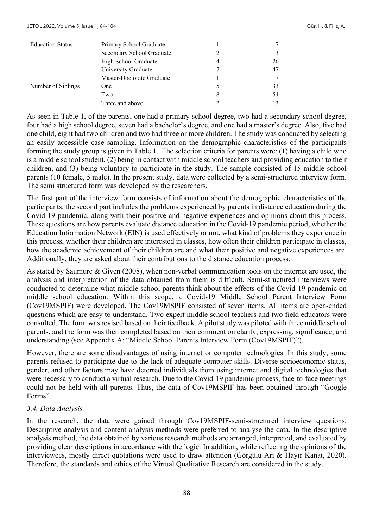| <b>Education Status</b> | Primary School Graduate   |   |    |  |
|-------------------------|---------------------------|---|----|--|
|                         | Secondary School Graduate |   |    |  |
|                         | High School Graduate      | 4 | 26 |  |
|                         | University Graduate       |   | 47 |  |
|                         | Master-Doctorate Graduate |   |    |  |
| Number of Siblings      | <b>One</b>                |   | 33 |  |
|                         | Two                       | 8 | 54 |  |
|                         | Three and above           |   |    |  |

As seen in Table 1, of the parents, one had a primary school degree, two had a secondary school degree, four had a high school degree, seven had a bachelor's degree, and one had a master's degree. Also, five had one child, eight had two children and two had three or more children. The study was conducted by selecting an easily accessible case sampling. Information on the demographic characteristics of the participants forming the study group is given in Table 1. The selection criteria for parents were: (1) having a child who is a middle school student, (2) being in contact with middle school teachers and providing education to their children, and (3) being voluntary to participate in the study. The sample consisted of 15 middle school parents (10 female, 5 male). In the present study, data were collected by a semi-structured interview form. The semi structured form was developed by the researchers.

The first part of the interview form consists of information about the demographic characteristics of the participants; the second part includes the problems experienced by parents in distance education during the Covid-19 pandemic, along with their positive and negative experiences and opinions about this process. These questions are how parents evaluate distance education in the Covid-19 pandemic period, whether the Education Information Network (EIN) is used effectively or not, what kind of problems they experience in this process, whether their children are interested in classes, how often their children participate in classes, how the academic achievement of their children are and what their positive and negative experiences are. Additionally, they are asked about their contributions to the distance education process.

As stated by Saumure & Given (2008), when non-verbal communication tools on the internet are used, the analysis and interpretation of the data obtained from them is difficult. Semi-structured interviews were conducted to determine what middle school parents think about the effects of the Covid-19 pandemic on middle school education. Within this scope, a Covid-19 Middle School Parent Interview Form (Cov19MSPIF) were developed. The Cov19MSPIF consisted of seven items. All items are open-ended questions which are easy to understand. Two expert middle school teachers and two field educators were consulted. The form was revised based on their feedback. A pilot study was piloted with three middle school parents, and the form was then completed based on their comment on clarity, expressing, significance, and understanding (see Appendix A: "Middle School Parents Interview Form (Cov19MSPIF)").

However, there are some disadvantages of using internet or computer technologies. In this study, some parents refused to participate due to the lack of adequate computer skills. Diverse socioeconomic status, gender, and other factors may have deterred individuals from using internet and digital technologies that were necessary to conduct a virtual research. Due to the Covid-19 pandemic process, face-to-face meetings could not be held with all parents. Thus, the data of Cov19MSPIF has been obtained through "Google Forms".

# *3.4. Data Analysis*

In the research, the data were gained through Cov19MSPIF-semi-structured interview questions. Descriptive analysis and content analysis methods were preferred to analyse the data. In the descriptive analysis method, the data obtained by various research methods are arranged, interpreted, and evaluated by providing clear descriptions in accordance with the logic. In addition, while reflecting the opinions of the interviewees, mostly direct quotations were used to draw attention (Görgülü Arı & Hayır Kanat, 2020). Therefore, the standards and ethics of the Virtual Qualitative Research are considered in the study.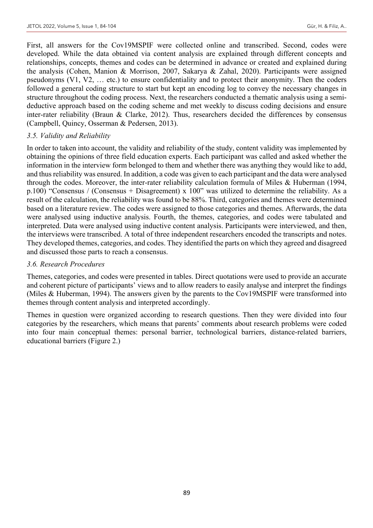First, all answers for the Cov19MSPIF were collected online and transcribed. Second, codes were developed. While the data obtained via content analysis are explained through different concepts and relationships, concepts, themes and codes can be determined in advance or created and explained during the analysis (Cohen, Manion & Morrison, 2007, Sakarya & Zahal, 2020). Participants were assigned pseudonyms (V1, V2, … etc.) to ensure confidentiality and to protect their anonymity. Then the coders followed a general coding structure to start but kept an encoding log to convey the necessary changes in structure throughout the coding process. Next, the researchers conducted a thematic analysis using a semideductive approach based on the coding scheme and met weekly to discuss coding decisions and ensure inter-rater reliability (Braun & Clarke, 2012). Thus, researchers decided the differences by consensus (Campbell, Quincy, Osserman & Pedersen, 2013).

### *3.5. Validity and Reliability*

In order to taken into account, the validity and reliability of the study, content validity was implemented by obtaining the opinions of three field education experts. Each participant was called and asked whether the information in the interview form belonged to them and whether there was anything they would like to add, and thus reliability was ensured. In addition, a code was given to each participant and the data were analysed through the codes. Moreover, the inter-rater reliability calculation formula of Miles & Huberman (1994, p.100) "Consensus / (Consensus + Disagreement) x 100" was utilized to determine the reliability. As a result of the calculation, the reliability was found to be 88%. Third, categories and themes were determined based on a literature review. The codes were assigned to those categories and themes. Afterwards, the data were analysed using inductive analysis. Fourth, the themes, categories, and codes were tabulated and interpreted. Data were analysed using inductive content analysis. Participants were interviewed, and then, the interviews were transcribed. A total of three independent researchers encoded the transcripts and notes. They developed themes, categories, and codes. They identified the parts on which they agreed and disagreed and discussed those parts to reach a consensus.

#### *3.6. Research Procedures*

Themes, categories, and codes were presented in tables. Direct quotations were used to provide an accurate and coherent picture of participants' views and to allow readers to easily analyse and interpret the findings (Miles & Huberman, 1994). The answers given by the parents to the Cov19MSPIF were transformed into themes through content analysis and interpreted accordingly.

Themes in question were organized according to research questions. Then they were divided into four categories by the researchers, which means that parents' comments about research problems were coded into four main conceptual themes: personal barrier, technological barriers, distance-related barriers, educational barriers (Figure 2.)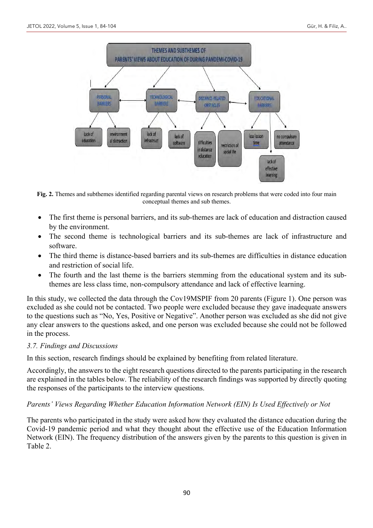

**Fig. 2.** Themes and subthemes identified regarding parental views on research problems that were coded into four main conceptual themes and sub themes.

- The first theme is personal barriers, and its sub-themes are lack of education and distraction caused by the environment.
- The second theme is technological barriers and its sub-themes are lack of infrastructure and software.
- The third theme is distance-based barriers and its sub-themes are difficulties in distance education and restriction of social life.
- The fourth and the last theme is the barriers stemming from the educational system and its subthemes are less class time, non-compulsory attendance and lack of effective learning.

In this study, we collected the data through the Cov19MSPIF from 20 parents (Figure 1). One person was excluded as she could not be contacted. Two people were excluded because they gave inadequate answers to the questions such as "No, Yes, Positive or Negative". Another person was excluded as she did not give any clear answers to the questions asked, and one person was excluded because she could not be followed in the process.

# *3.7. Findings and Discussions*

In this section, research findings should be explained by benefiting from related literature.

Accordingly, the answers to the eight research questions directed to the parents participating in the research are explained in the tables below. The reliability of the research findings was supported by directly quoting the responses of the participants to the interview questions.

# *Parents' Views Regarding Whether Education Information Network (EIN) Is Used Effectively or Not*

The parents who participated in the study were asked how they evaluated the distance education during the Covid-19 pandemic period and what they thought about the effective use of the Education Information Network (EIN). The frequency distribution of the answers given by the parents to this question is given in Table 2.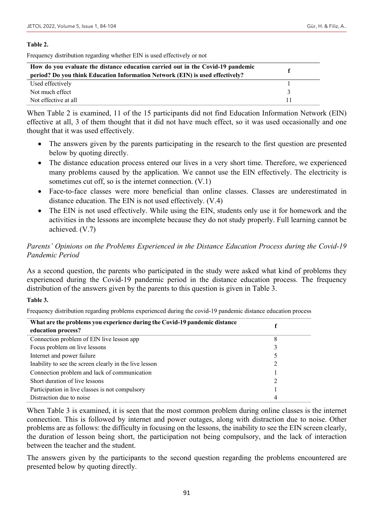#### **Table 2.**

Frequency distribution regarding whether EIN is used effectively or not

| How do you evaluate the distance education carried out in the Covid-19 pandemic<br>period? Do you think Education Information Network (EIN) is used effectively? |  |
|------------------------------------------------------------------------------------------------------------------------------------------------------------------|--|
| Used effectively                                                                                                                                                 |  |
| Not much effect                                                                                                                                                  |  |
| Not effective at all                                                                                                                                             |  |

When Table 2 is examined, 11 of the 15 participants did not find Education Information Network (EIN) effective at all, 3 of them thought that it did not have much effect, so it was used occasionally and one thought that it was used effectively.

- The answers given by the parents participating in the research to the first question are presented below by quoting directly.
- The distance education process entered our lives in a very short time. Therefore, we experienced many problems caused by the application. We cannot use the EIN effectively. The electricity is sometimes cut off, so is the internet connection.  $(V.1)$
- Face-to-face classes were more beneficial than online classes. Classes are underestimated in distance education. The EIN is not used effectively. (V.4)
- The EIN is not used effectively. While using the EIN, students only use it for homework and the activities in the lessons are incomplete because they do not study properly. Full learning cannot be achieved. (V.7)

# *Parents' Opinions on the Problems Experienced in the Distance Education Process during the Covid-19 Pandemic Period*

As a second question, the parents who participated in the study were asked what kind of problems they experienced during the Covid-19 pandemic period in the distance education process. The frequency distribution of the answers given by the parents to this question is given in Table 3.

#### **Table 3.**

Frequency distribution regarding problems experienced during the covid-19 pandemic distance education process

| What are the problems you experience during the Covid-19 pandemic distance |   |
|----------------------------------------------------------------------------|---|
| education process?                                                         |   |
| Connection problem of EIN live lesson app                                  | 8 |
| Focus problem on live lessons                                              |   |
| Internet and power failure                                                 |   |
| Inability to see the screen clearly in the live lesson                     |   |
| Connection problem and lack of communication                               |   |
| Short duration of live lessons                                             |   |
| Participation in live classes is not compulsory                            |   |
| Distraction due to noise                                                   |   |

When Table 3 is examined, it is seen that the most common problem during online classes is the internet connection. This is followed by internet and power outages, along with distraction due to noise. Other problems are as follows: the difficulty in focusing on the lessons, the inability to see the EIN screen clearly, the duration of lesson being short, the participation not being compulsory, and the lack of interaction between the teacher and the student.

The answers given by the participants to the second question regarding the problems encountered are presented below by quoting directly.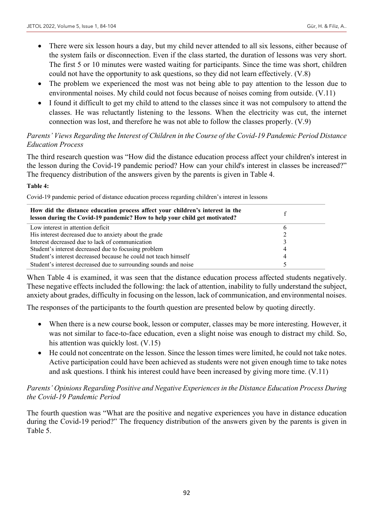- There were six lesson hours a day, but my child never attended to all six lessons, either because of the system fails or disconnection. Even if the class started, the duration of lessons was very short. The first 5 or 10 minutes were wasted waiting for participants. Since the time was short, children could not have the opportunity to ask questions, so they did not learn effectively. (V.8)
- The problem we experienced the most was not being able to pay attention to the lesson due to environmental noises. My child could not focus because of noises coming from outside. (V.11)
- I found it difficult to get my child to attend to the classes since it was not compulsory to attend the classes. He was reluctantly listening to the lessons. When the electricity was cut, the internet connection was lost, and therefore he was not able to follow the classes properly. (V.9)

# *Parents' Views Regarding the Interest of Children in the Course of the Covid-19 Pandemic Period Distance Education Process*

The third research question was "How did the distance education process affect your children's interest in the lesson during the Covid-19 pandemic period? How can your child's interest in classes be increased?" The frequency distribution of the answers given by the parents is given in Table 4.

#### **Table 4:**

Covid-19 pandemic period of distance education process regarding children's interest in lessons

| How did the distance education process affect your children's interest in the<br>lesson during the Covid-19 pandemic? How to help your child get motivated? |   |  |
|-------------------------------------------------------------------------------------------------------------------------------------------------------------|---|--|
| Low interest in attention deficit                                                                                                                           | b |  |
| His interest decreased due to anxiety about the grade                                                                                                       |   |  |
| Interest decreased due to lack of communication                                                                                                             |   |  |
| Student's interest decreased due to focusing problem                                                                                                        | 4 |  |
| Student's interest decreased because he could not teach himself                                                                                             | 4 |  |
| Student's interest decreased due to surrounding sounds and noise                                                                                            |   |  |

When Table 4 is examined, it was seen that the distance education process affected students negatively. These negative effects included the following: the lack of attention, inability to fully understand the subject, anxiety about grades, difficulty in focusing on the lesson, lack of communication, and environmental noises.

The responses of the participants to the fourth question are presented below by quoting directly.

- When there is a new course book, lesson or computer, classes may be more interesting. However, it was not similar to face-to-face education, even a slight noise was enough to distract my child. So, his attention was quickly lost. (V.15)
- He could not concentrate on the lesson. Since the lesson times were limited, he could not take notes. Active participation could have been achieved as students were not given enough time to take notes and ask questions. I think his interest could have been increased by giving more time. (V.11)

# *Parents' Opinions Regarding Positive and Negative Experiences in the Distance Education Process During the Covid-19 Pandemic Period*

The fourth question was "What are the positive and negative experiences you have in distance education during the Covid-19 period?" The frequency distribution of the answers given by the parents is given in Table 5.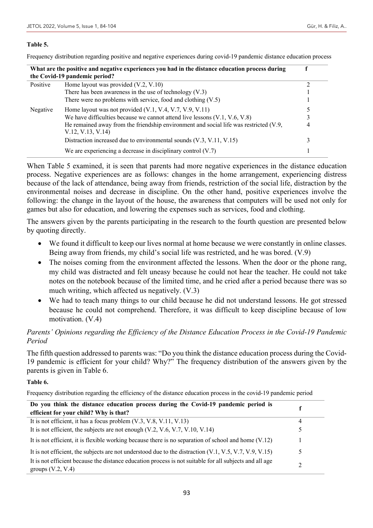#### **Table 5.**

Frequency distribution regarding positive and negative experiences during covid-19 pandemic distance education process

| What are the positive and negative experiences you had in the distance education process during |                                                                                                           |   |
|-------------------------------------------------------------------------------------------------|-----------------------------------------------------------------------------------------------------------|---|
|                                                                                                 | the Covid-19 pandemic period?                                                                             |   |
| Positive                                                                                        | Home layout was provided $(V.2, V.10)$                                                                    |   |
|                                                                                                 | There has been awareness in the use of technology $(V.3)$                                                 |   |
|                                                                                                 | There were no problems with service, food and clothing $(V.5)$                                            |   |
| Negative                                                                                        | Home layout was not provided $(V.1, V.4, V.7, V.9, V.11)$                                                 |   |
|                                                                                                 | We have difficulties because we cannot attend live lessons $(V.1, V.6, V.8)$                              |   |
|                                                                                                 | He remained away from the friendship environment and social life was restricted (V.9,<br>V.12, V.13, V.14 | 4 |
|                                                                                                 | Distraction increased due to environmental sounds (V.3, V.11, V.15)                                       | 3 |
|                                                                                                 | We are experiencing a decrease in disciplinary control $(V.7)$                                            |   |

When Table 5 examined, it is seen that parents had more negative experiences in the distance education process. Negative experiences are as follows: changes in the home arrangement, experiencing distress because of the lack of attendance, being away from friends, restriction of the social life, distraction by the environmental noises and decrease in discipline. On the other hand, positive experiences involve the following: the change in the layout of the house, the awareness that computers will be used not only for games but also for education, and lowering the expenses such as services, food and clothing.

The answers given by the parents participating in the research to the fourth question are presented below by quoting directly.

- We found it difficult to keep our lives normal at home because we were constantly in online classes. Being away from friends, my child's social life was restricted, and he was bored. (V.9)
- The noises coming from the environment affected the lessons. When the door or the phone rang, my child was distracted and felt uneasy because he could not hear the teacher. He could not take notes on the notebook because of the limited time, and he cried after a period because there was so much writing, which affected us negatively. (V.3)
- We had to teach many things to our child because he did not understand lessons. He got stressed because he could not comprehend. Therefore, it was difficult to keep discipline because of low motivation. (V.4)

# *Parents' Opinions regarding the Efficiency of the Distance Education Process in the Covid-19 Pandemic Period*

The fifth question addressed to parents was: "Do you think the distance education process during the Covid-19 pandemic is efficient for your child? Why?" The frequency distribution of the answers given by the parents is given in Table 6.

#### **Table 6.**

Frequency distribution regarding the efficiency of the distance education process in the covid-19 pandemic period

| Do you think the distance education process during the Covid-19 pandemic period is                                             |   |
|--------------------------------------------------------------------------------------------------------------------------------|---|
| efficient for your child? Why is that?                                                                                         |   |
| It is not efficient, it has a focus problem $(V.3, V.8, V.11, V.13)$                                                           | 4 |
| It is not efficient, the subjects are not enough $(V.2, V.6, V.7, V.10, V.14)$                                                 |   |
| It is not efficient, it is flexible working because there is no separation of school and home $(V.12)$                         |   |
| It is not efficient, the subjects are not understood due to the distraction $(V.1, V.5, V.7, V.9, V.15)$                       | ↖ |
| It is not efficient because the distance education process is not suitable for all subjects and all age<br>groups $(V.2, V.4)$ | C |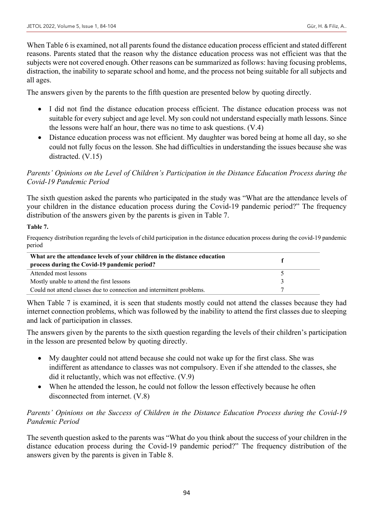When Table 6 is examined, not all parents found the distance education process efficient and stated different reasons. Parents stated that the reason why the distance education process was not efficient was that the subjects were not covered enough. Other reasons can be summarized as follows: having focusing problems, distraction, the inability to separate school and home, and the process not being suitable for all subjects and all ages.

The answers given by the parents to the fifth question are presented below by quoting directly.

- I did not find the distance education process efficient. The distance education process was not suitable for every subject and age level. My son could not understand especially math lessons. Since the lessons were half an hour, there was no time to ask questions. (V.4)
- Distance education process was not efficient. My daughter was bored being at home all day, so she could not fully focus on the lesson. She had difficulties in understanding the issues because she was distracted. (V.15)

# *Parents' Opinions on the Level of Children's Participation in the Distance Education Process during the Covid-19 Pandemic Period*

The sixth question asked the parents who participated in the study was "What are the attendance levels of your children in the distance education process during the Covid-19 pandemic period?" The frequency distribution of the answers given by the parents is given in Table 7.

# **Table 7.**

Frequency distribution regarding the levels of child participation in the distance education process during the covid-19 pandemic period

| What are the attendance levels of your children in the distance education |  |
|---------------------------------------------------------------------------|--|
| process during the Covid-19 pandemic period?                              |  |
| Attended most lessons                                                     |  |
| Mostly unable to attend the first lessons                                 |  |
| Could not attend classes due to connection and intermittent problems.     |  |

When Table 7 is examined, it is seen that students mostly could not attend the classes because they had internet connection problems, which was followed by the inability to attend the first classes due to sleeping and lack of participation in classes.

The answers given by the parents to the sixth question regarding the levels of their children's participation in the lesson are presented below by quoting directly.

- My daughter could not attend because she could not wake up for the first class. She was indifferent as attendance to classes was not compulsory. Even if she attended to the classes, she did it reluctantly, which was not effective. (V.9)
- When he attended the lesson, he could not follow the lesson effectively because he often disconnected from internet. (V.8)

# *Parents' Opinions on the Success of Children in the Distance Education Process during the Covid-19 Pandemic Period*

The seventh question asked to the parents was "What do you think about the success of your children in the distance education process during the Covid-19 pandemic period?" The frequency distribution of the answers given by the parents is given in Table 8.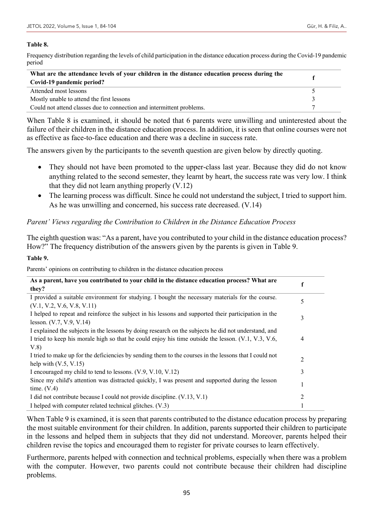#### **Table 8.**

Frequency distribution regarding the levels of child participation in the distance education process during the Covid-19 pandemic period

| What are the attendance levels of your children in the distance education process during the |  |
|----------------------------------------------------------------------------------------------|--|
| Covid-19 pandemic period?                                                                    |  |
| Attended most lessons                                                                        |  |
| Mostly unable to attend the first lessons                                                    |  |
| Could not attend classes due to connection and intermittent problems.                        |  |

When Table 8 is examined, it should be noted that 6 parents were unwilling and uninterested about the failure of their children in the distance education process. In addition, it is seen that online courses were not as effective as face-to-face education and there was a decline in success rate.

The answers given by the participants to the seventh question are given below by directly quoting.

- They should not have been promoted to the upper-class last year. Because they did do not know anything related to the second semester, they learnt by heart, the success rate was very low. I think that they did not learn anything properly (V.12)
- The learning process was difficult. Since he could not understand the subject, I tried to support him. As he was unwilling and concerned, his success rate decreased. (V.14)

# *Parent' Views regarding the Contribution to Children in the Distance Education Process*

The eighth question was: "As a parent, have you contributed to your child in the distance education process? How?" The frequency distribution of the answers given by the parents is given in Table 9.

#### **Table 9.**

Parents' opinions on contributing to children in the distance education process

| As a parent, have you contributed to your child in the distance education process? What are                                       |   |
|-----------------------------------------------------------------------------------------------------------------------------------|---|
| they?                                                                                                                             |   |
| I provided a suitable environment for studying. I bought the necessary materials for the course.<br>(V.1, V.2, V.6, V.8, V.11)    | 5 |
| I helped to repeat and reinforce the subject in his lessons and supported their participation in the                              | 3 |
| lesson. (V.7, V.9, V.14)                                                                                                          |   |
| I explained the subjects in the lessons by doing research on the subjects he did not understand, and                              |   |
| I tried to keep his morale high so that he could enjoy his time outside the lesson. (V.1, V.3, V.6,<br>V.8)                       | 4 |
| I tried to make up for the deficiencies by sending them to the courses in the lessons that I could not<br>help with $(V.5, V.15)$ | 2 |
| I encouraged my child to tend to lessons. (V.9, V.10, V.12)                                                                       | 3 |
| Since my child's attention was distracted quickly, I was present and supported during the lesson<br>time. $(V.4)$                 |   |
| I did not contribute because I could not provide discipline. (V.13, V.1)                                                          | 2 |
| I helped with computer related technical glitches. (V.3)                                                                          |   |

When Table 9 is examined, it is seen that parents contributed to the distance education process by preparing the most suitable environment for their children. In addition, parents supported their children to participate in the lessons and helped them in subjects that they did not understand. Moreover, parents helped their children revise the topics and encouraged them to register for private courses to learn effectively.

Furthermore, parents helped with connection and technical problems, especially when there was a problem with the computer. However, two parents could not contribute because their children had discipline problems.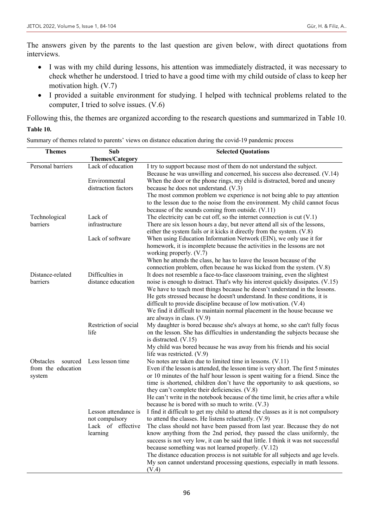The answers given by the parents to the last question are given below, with direct quotations from interviews.

- I was with my child during lessons, his attention was immediately distracted, it was necessary to check whether he understood. I tried to have a good time with my child outside of class to keep her motivation high. (V.7)
- I provided a suitable environment for studying. I helped with technical problems related to the computer, I tried to solve issues. (V.6)

Following this, the themes are organized according to the research questions and summarized in Table 10.

#### **Table 10.**

| <b>Themes</b>        | Sub                    | <b>Selected Quotations</b>                                                                                                                           |
|----------------------|------------------------|------------------------------------------------------------------------------------------------------------------------------------------------------|
|                      | <b>Themes/Category</b> |                                                                                                                                                      |
| Personal barriers    | Lack of education      | I try to support because most of them do not understand the subject.<br>Because he was unwilling and concerned, his success also decreased. (V.14)   |
|                      | Environmental          | When the door or the phone rings, my child is distracted, bored and uneasy                                                                           |
|                      | distraction factors    | because he does not understand. (V.3)                                                                                                                |
|                      |                        | The most common problem we experience is not being able to pay attention                                                                             |
|                      |                        | to the lesson due to the noise from the environment. My child cannot focus                                                                           |
|                      |                        | because of the sounds coming from outside. (V.11)                                                                                                    |
| Technological        | Lack of                | The electricity can be cut off, so the internet connection is cut $(V.1)$                                                                            |
| barriers             | infrastructure         | There are six lesson hours a day, but never attend all six of the lessons,<br>either the system fails or it kicks it directly from the system. (V.8) |
|                      | Lack of software       | When using Education Information Network (EIN), we only use it for                                                                                   |
|                      |                        | homework, it is incomplete because the activities in the lessons are not                                                                             |
|                      |                        | working properly. (V.7)                                                                                                                              |
|                      |                        | When he attends the class, he has to leave the lesson because of the                                                                                 |
|                      |                        | connection problem, often because he was kicked from the system. (V.8)                                                                               |
| Distance-related     | Difficulties in        | It does not resemble a face-to-face classroom training, even the slightest                                                                           |
| barriers             | distance education     | noise is enough to distract. That's why his interest quickly dissipates. (V.15)                                                                      |
|                      |                        | We have to teach most things because he doesn't understand in the lessons.                                                                           |
|                      |                        | He gets stressed because he doesn't understand. In these conditions, it is<br>difficult to provide discipline because of low motivation. (V.4)       |
|                      |                        | We find it difficult to maintain normal placement in the house because we                                                                            |
|                      |                        | are always in class. $(V.9)$                                                                                                                         |
|                      | Restriction of social  | My daughter is bored because she's always at home, so she can't fully focus                                                                          |
|                      | life                   | on the lesson. She has difficulties in understanding the subjects because she<br>is distracted. $(V.15)$                                             |
|                      |                        | My child was bored because he was away from his friends and his social                                                                               |
|                      |                        | life was restricted. (V.9)                                                                                                                           |
| Obstacles<br>sourced | Less lesson time       | No notes are taken due to limited time in lessons. (V.11)                                                                                            |
| from the education   |                        | Even if the lesson is attended, the lesson time is very short. The first 5 minutes                                                                   |
| system               |                        | or 10 minutes of the half hour lesson is spent waiting for a friend. Since the                                                                       |
|                      |                        | time is shortened, children don't have the opportunity to ask questions, so                                                                          |
|                      |                        | they can't complete their deficiencies. (V.8)                                                                                                        |
|                      |                        | He can't write in the notebook because of the time limit, he cries after a while<br>because he is bored with so much to write. (V.3)                 |
|                      | Lesson attendance is   | I find it difficult to get my child to attend the classes as it is not compulsory                                                                    |
|                      | not compulsory         | to attend the classes. He listens reluctantly. (V.9)                                                                                                 |
|                      | Lack of effective      | The class should not have been passed from last year. Because they do not                                                                            |
|                      | learning               | know anything from the 2nd period, they passed the class uniformly, the                                                                              |
|                      |                        | success is not very low, it can be said that little. I think it was not successful                                                                   |
|                      |                        | because something was not learned properly. (V.12)                                                                                                   |
|                      |                        | The distance education process is not suitable for all subjects and age levels.                                                                      |
|                      |                        | My son cannot understand processing questions, especially in math lessons.                                                                           |
|                      |                        | (V.4)                                                                                                                                                |

Summary of themes related to parents' views on distance education during the covid-19 pandemic process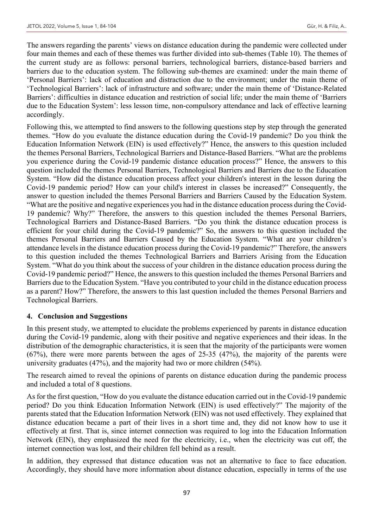The answers regarding the parents' views on distance education during the pandemic were collected under four main themes and each of these themes was further divided into sub-themes (Table 10). The themes of the current study are as follows: personal barriers, technological barriers, distance-based barriers and barriers due to the education system. The following sub-themes are examined: under the main theme of 'Personal Barriers': lack of education and distraction due to the environment; under the main theme of 'Technological Barriers': lack of infrastructure and software; under the main theme of 'Distance-Related Barriers': difficulties in distance education and restriction of social life; under the main theme of 'Barriers due to the Education System': less lesson time, non-compulsory attendance and lack of effective learning accordingly.

Following this, we attempted to find answers to the following questions step by step through the generated themes. "How do you evaluate the distance education during the Covid-19 pandemic? Do you think the Education Information Network (EIN) is used effectively?" Hence, the answers to this question included the themes Personal Barriers, Technological Barriers and Distance-Based Barriers. "What are the problems you experience during the Covid-19 pandemic distance education process?" Hence, the answers to this question included the themes Personal Barriers, Technological Barriers and Barriers due to the Education System. "How did the distance education process affect your children's interest in the lesson during the Covid-19 pandemic period? How can your child's interest in classes be increased?" Consequently, the answer to question included the themes Personal Barriers and Barriers Caused by the Education System. "What are the positive and negative experiences you had in the distance education process during the Covid-19 pandemic? Why?" Therefore, the answers to this question included the themes Personal Barriers, Technological Barriers and Distance-Based Barriers. "Do you think the distance education process is efficient for your child during the Covid-19 pandemic?" So, the answers to this question included the themes Personal Barriers and Barriers Caused by the Education System. "What are your children's attendance levels in the distance education process during the Covid-19 pandemic?" Therefore, the answers to this question included the themes Technological Barriers and Barriers Arising from the Education System. "What do you think about the success of your children in the distance education process during the Covid-19 pandemic period?" Hence, the answers to this question included the themes Personal Barriers and Barriers due to the Education System. "Have you contributed to your child in the distance education process as a parent? How?" Therefore, the answers to this last question included the themes Personal Barriers and Technological Barriers.

#### **4. Conclusion and Suggestions**

In this present study, we attempted to elucidate the problems experienced by parents in distance education during the Covid-19 pandemic, along with their positive and negative experiences and their ideas. In the distribution of the demographic characteristics, it is seen that the majority of the participants were women (67%), there were more parents between the ages of 25-35 (47%), the majority of the parents were university graduates (47%), and the majority had two or more children (54%).

The research aimed to reveal the opinions of parents on distance education during the pandemic process and included a total of 8 questions.

As for the first question, "How do you evaluate the distance education carried out in the Covid-19 pandemic period? Do you think Education Information Network (EIN) is used effectively?" The majority of the parents stated that the Education Information Network (EIN) was not used effectively. They explained that distance education became a part of their lives in a short time and, they did not know how to use it effectively at first. That is, since internet connection was required to log into the Education Information Network (EIN), they emphasized the need for the electricity, i.e., when the electricity was cut off, the internet connection was lost, and their children fell behind as a result.

In addition, they expressed that distance education was not an alternative to face to face education. Accordingly, they should have more information about distance education, especially in terms of the use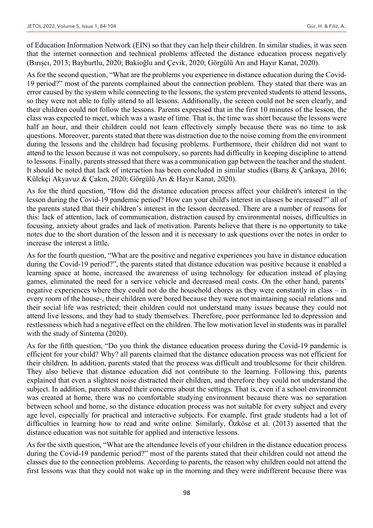of Education Information Network (EIN) so that they can help their children. In similar studies, it was seen that the internet connection and technical problems affected the distance education process negatively (Bırışcı, 2013; Bayburtlu, 2020; Bakioğlu and Çevik, 2020; Görgülü Arı and Hayır Kanat, 2020).

As for the second question, "What are the problems you experience in distance education during the Covid-19 period?" most of the parents complained about the connection problem. They stated that there was an error caused by the system while connecting to the lessons, the system prevented students to attend lessons, so they were not able to fully attend to all lessons. Additionally, the screen could not be seen clearly, and their children could not follow the lessons. Parents expressed that in the first 10 minutes of the lesson, the class was expected to meet, which was a waste of time. That is, the time was short because the lessons were half an hour, and their children could not learn effectively simply because there was no time to ask questions. Moreover, parents stated that there was distraction due to the noise coming from the environment during the lessons and the children had focusing problems. Furthermore, their children did not want to attend to the lesson because it was not compulsory, so parents had difficulty in keeping discipline to attend to lessons. Finally, parents stressed that there was a communication gap between the teacher and the student. It should be noted that lack of interaction has been concluded in similar studies (Barış & Çankaya, 2016; Külekçi Akyavuz & Çakın, 2020; Görgülü Arı & Hayır Kanat, 2020).

As for the third question, "How did the distance education process affect your children's interest in the lesson during the Covid-19 pandemic period? How can your child's interest in classes be increased?" all of the parents stated that their children's interest in the lesson decreased. There are a number of reasons for this: lack of attention, lack of communication, distraction caused by environmental noises, difficulties in focusing, anxiety about grades and lack of motivation. Parents believe that there is no opportunity to take notes due to the short duration of the lesson and it is necessary to ask questions over the notes in order to increase the interest a little.

As for the fourth question, "What are the positive and negative experiences you have in distance education during the Covid-19 period?", the parents stated that distance education was positive because it enabled a learning space at home, increased the awareness of using technology for education instead of playing games, eliminated the need for a service vehicle and decreased meal costs. On the other hand, parents' negative experiences where they could not do the household chores as they were constantly in class – in every room of the house-, their children were bored because they were not maintaining social relations and their social life was restricted; their children could not understand many issues because they could not attend live lessons, and they had to study themselves. Therefore, poor performance led to depression and restlessness which had a negative effect on the children. The low motivation level in students was in parallel with the study of Sintema (2020).

As for the fifth question, "Do you think the distance education process during the Covid-19 pandemic is efficient for your child? Why? all parents claimed that the distance education process was not efficient for their children. In addition, parents stated that the process was difficult and troublesome for their children. They also believe that distance education did not contribute to the learning. Following this, parents explained that even a slightest noise distracted their children, and therefore they could not understand the subject. In addition, parents shared their concerns about the settings. That is, even if a school environment was created at home, there was no comfortable studying environment because there was no separation between school and home, so the distance education process was not suitable for every subject and every age level, especially for practical and interactive subjects. For example, first grade students had a lot of difficulties in learning how to read and write online. Similarly, Özköse et al. (2013) asserted that the distance education was not suitable for applied and interactive lessons.

As for the sixth question, "What are the attendance levels of your children in the distance education process during the Covid-19 pandemic period?" most of the parents stated that their children could not attend the classes due to the connection problems. According to parents, the reason why children could not attend the first lessons was that they could not wake up in the morning and they were indifferent because there was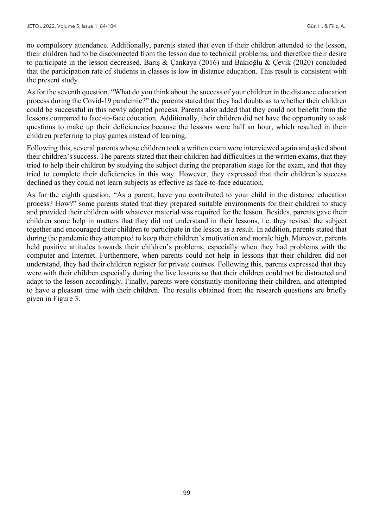no compulsory attendance. Additionally, parents stated that even if their children attended to the lesson, their children had to be disconnected from the lesson due to technical problems, and therefore their desire to participate in the lesson decreased. Barış & Çankaya (2016) and Bakioğlu & Çevik (2020) concluded that the participation rate of students in classes is low in distance education. This result is consistent with the present study.

As for the seventh question, "What do you think about the success of your children in the distance education process during the Covid-19 pandemic?" the parents stated that they had doubts as to whether their children could be successful in this newly adopted process. Parents also added that they could not benefit from the lessons compared to face-to-face education. Additionally, their children did not have the opportunity to ask questions to make up their deficiencies because the lessons were half an hour, which resulted in their children preferring to play games instead of learning.

Following this, several parents whose children took a written exam were interviewed again and asked about their children's success. The parents stated that their children had difficulties in the written exams, that they tried to help their children by studying the subject during the preparation stage for the exam, and that they tried to complete their deficiencies in this way. However, they expressed that their children's success declined as they could not learn subjects as effective as face-to-face education.

As for the eighth question, "As a parent, have you contributed to your child in the distance education process? How?" some parents stated that they prepared suitable environments for their children to study and provided their children with whatever material was required for the lesson. Besides, parents gave their children some help in matters that they did not understand in their lessons, i.e. they revised the subject together and encouraged their children to participate in the lesson as a result. In addition, parents stated that during the pandemic they attempted to keep their children's motivation and morale high. Moreover, parents held positive attitudes towards their children's problems, especially when they had problems with the computer and Internet. Furthermore, when parents could not help in lessons that their children did not understand, they had their children register for private courses. Following this, parents expressed that they were with their children especially during the live lessons so that their children could not be distracted and adapt to the lesson accordingly. Finally, parents were constantly monitoring their children, and attempted to have a pleasant time with their children. The results obtained from the research questions are briefly given in Figure 3.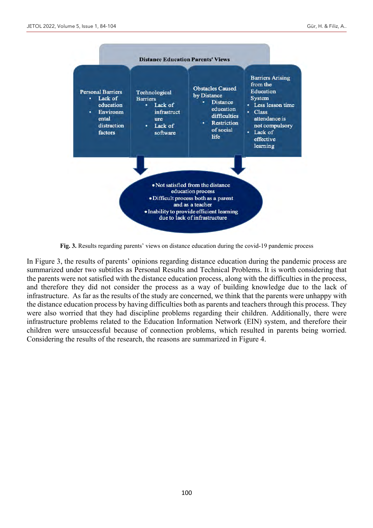

**Fig. 3.** Results regarding parents' views on distance education during the covid-19 pandemic process

In Figure 3, the results of parents' opinions regarding distance education during the pandemic process are summarized under two subtitles as Personal Results and Technical Problems. It is worth considering that the parents were not satisfied with the distance education process, along with the difficulties in the process, and therefore they did not consider the process as a way of building knowledge due to the lack of infrastructure. As far as the results of the study are concerned, we think that the parents were unhappy with the distance education process by having difficulties both as parents and teachers through this process. They were also worried that they had discipline problems regarding their children. Additionally, there were infrastructure problems related to the Education Information Network (EIN) system, and therefore their children were unsuccessful because of connection problems, which resulted in parents being worried. Considering the results of the research, the reasons are summarized in Figure 4.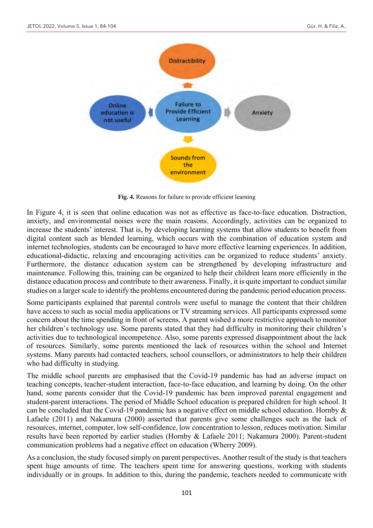

**Fig. 4.** Reasons for failure to provide efficient learning

In Figure 4, it is seen that online education was not as effective as face-to-face education. Distraction, anxiety, and environmental noises were the main reasons. Accordingly, activities can be organized to increase the students' interest. That is, by developing learning systems that allow students to benefit from digital content such as blended learning, which occurs with the combination of education system and internet technologies, students can be encouraged to have more effective learning experiences. In addition, educational-didactic, relaxing and encouraging activities can be organized to reduce students' anxiety. Furthermore, the distance education system can be strengthened by developing infrastructure and maintenance. Following this, training can be organized to help their children learn more efficiently in the distance education process and contribute to their awareness. Finally, it is quite important to conduct similar studies on a larger scale to identify the problems encountered during the pandemic period education process.

Some participants explained that parental controls were useful to manage the content that their children have access to such as social media applications or TV streaming services. All participants expressed some concern about the time spending in front of screens. A parent wished a more restrictive approach to monitor her children's technology use. Some parents stated that they had difficulty in monitoring their children's activities due to technological incompetence. Also, some parents expressed disappointment about the lack of resources. Similarly, some parents mentioned the lack of resources within the school and Internet systems. Many parents had contacted teachers, school counsellors, or administrators to help their children who had difficulty in studying.

The middle school parents are emphasised that the Covid-19 pandemic has had an adverse impact on teaching concepts, teacher-student interaction, face-to-face education, and learning by doing. On the other hand, some parents consider that the Covid-19 pandemic has been improved parental engagement and student-parent interactions. The period of Middle School education is prepared children for high school. It can be concluded that the Covid-19 pandemic has a negative effect on middle school education. Hornby & Lafaele (2011) and Nakamura (2000) asserted that parents give some challenges such as the lack of resources, internet, computer, low self-confidence, low concentration to lesson, reduces motivation. Similar results have been reported by earlier studies (Hornby & Lafaele 2011; Nakamura 2000). Parent-student communication problems had a negative effect on education (Wherry 2009).

As a conclusion, the study focused simply on parent perspectives. Another result of the study is that teachers spent huge amounts of time. The teachers spent time for answering questions, working with students individually or in groups. In addition to this, during the pandemic, teachers needed to communicate with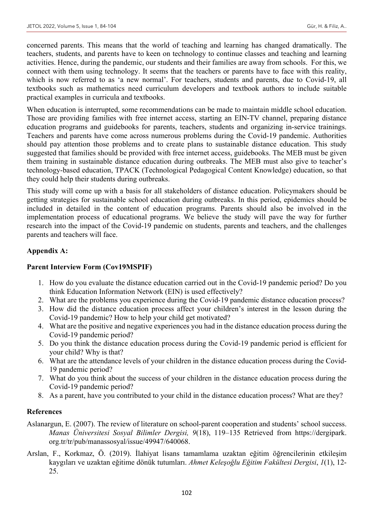concerned parents. This means that the world of teaching and learning has changed dramatically. The teachers, students, and parents have to keen on technology to continue classes and teaching and learning activities. Hence, during the pandemic, our students and their families are away from schools. For this, we connect with them using technology. It seems that the teachers or parents have to face with this reality, which is now referred to as 'a new normal'. For teachers, students and parents, due to Covid-19, all textbooks such as mathematics need curriculum developers and textbook authors to include suitable practical examples in curricula and textbooks.

When education is interrupted, some recommendations can be made to maintain middle school education. Those are providing families with free internet access, starting an EIN-TV channel, preparing distance education programs and guidebooks for parents, teachers, students and organizing in-service trainings. Teachers and parents have come across numerous problems during the Covid-19 pandemic. Authorities should pay attention those problems and to create plans to sustainable distance education. This study suggested that families should be provided with free internet access, guidebooks. The MEB must be given them training in sustainable distance education during outbreaks. The MEB must also give to teacher's technology-based education, TPACK (Technological Pedagogical Content Knowledge) education, so that they could help their students during outbreaks.

This study will come up with a basis for all stakeholders of distance education. Policymakers should be getting strategies for sustainable school education during outbreaks. In this period, epidemics should be included in detailed in the content of education programs. Parents should also be involved in the implementation process of educational programs. We believe the study will pave the way for further research into the impact of the Covid-19 pandemic on students, parents and teachers, and the challenges parents and teachers will face.

# **Appendix A:**

# **Parent Interview Form (Cov19MSPIF)**

- 1. How do you evaluate the distance education carried out in the Covid-19 pandemic period? Do you think Education Information Network (EIN) is used effectively?
- 2. What are the problems you experience during the Covid-19 pandemic distance education process?
- 3. How did the distance education process affect your children's interest in the lesson during the Covid-19 pandemic? How to help your child get motivated?
- 4. What are the positive and negative experiences you had in the distance education process during the Covid-19 pandemic period?
- 5. Do you think the distance education process during the Covid-19 pandemic period is efficient for your child? Why is that?
- 6. What are the attendance levels of your children in the distance education process during the Covid-19 pandemic period?
- 7. What do you think about the success of your children in the distance education process during the Covid-19 pandemic period?
- 8. As a parent, have you contributed to your child in the distance education process? What are they?

# **References**

- Aslanargun, E. (2007). The review of literature on school-parent cooperation and students' school success. *Manas Üniversitesi Sosyal Bilimler Dergisi, 9*(18), 119–135 Retrieved from https://dergipark. org.tr/tr/pub/manassosyal/issue/49947/640068.
- Arslan, F., Korkmaz, Ö. (2019). İlahiyat lisans tamamlama uzaktan eğitim öğrencilerinin etkileşim kaygıları ve uzaktan eğitime dönük tutumları. *Ahmet Keleşoğlu Eğitim Fakültesi Dergisi*, *1*(1), 12- 25.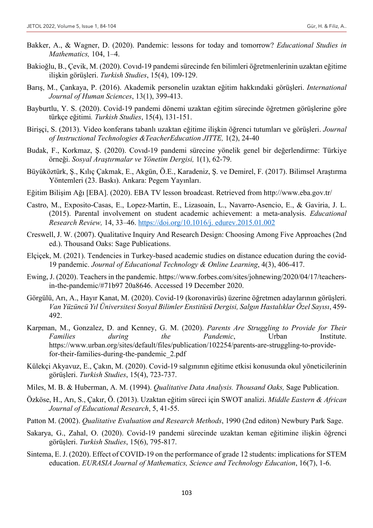- Bakker, A., & Wagner, D. (2020). Pandemic: lessons for today and tomorrow? *Educational Studies in Mathematics,* 104, 1–4.
- Bakioğlu, B., Çevik, M. (2020). Covıd-19 pandemi sürecinde fen bilimleri öğretmenlerinin uzaktan eğitime ilişkin görüşleri. *Turkish Studies*, 15(4), 109-129.
- Barış, M., Çankaya, P. (2016). Akademik personelin uzaktan eğitim hakkındaki görüşleri. *International Journal of Human Sciences*, 13(1), 399-413.
- Bayburtlu, Y. S. (2020). Covid-19 pandemi dönemi uzaktan eğitim sürecinde öğretmen görüşlerine göre türkçe eğitimi*. Turkish Studies*, 15(4), 131-151.
- Birişçi, S. (2013). Video konferans tabanlı uzaktan eğitime ilişkin öğrenci tutumları ve görüşleri. *Journal of Instructional Technologies &TeacherEducation JITTE,* 1(2), 24-40
- Budak, F., Korkmaz, Ş. (2020). Covıd-19 pandemi sürecine yönelik genel bir değerlendirme: Türkiye örneği. *Sosyal Araştırmalar ve Yönetim Dergisi,* 1(1), 62-79.
- Büyüköztürk, Ş., Kılıç Çakmak, E., Akgün, Ö.E., Karadeniz, Ş. ve Demirel, F. (2017). Bilimsel Araştırma Yöntemleri (23. Baskı). Ankara: Pegem Yayınları.
- Eğitim Bilişim Ağı [EBA]. (2020). EBA TV lesson broadcast. Retrieved from http://www.eba.gov.tr/
- Castro, M., Exposito-Casas, E., Lopez-Martin, E., Lizasoain, L., Navarro-Asencio, E., & Gaviria, J. L. (2015). Parental involvement on student academic achievement: a meta-analysis. *Educational Research Review,* 14, 33–46. https://doi.org/10.1016/j. edurev.2015.01.002
- Creswell, J. W. (2007). Qualitative Inquiry And Research Design: Choosing Among Five Approaches (2nd ed.). Thousand Oaks: Sage Publications.
- Elçiçek, M. (2021). Tendencies in Turkey-based academic studies on distance education during the covid-19 pandemic. *Journal of Educational Technology & Online Learning*, 4(3), 406-417.
- Ewing, J. (2020). Teachers in the pandemic. https://www.forbes.com/sites/johnewing/2020/04/17/teachersin-the-pandemic/#71b97 20a8646. Accessed 19 December 2020.
- Görgülü, Arı, A., Hayır Kanat, M. (2020). Covid-19 (koronavirüs) üzerine öğretmen adaylarının görüşleri. *Van Yüzüncü Yıl Üniversitesi Sosyal Bilimler Enstitüsü Dergisi, Salgın Hastalıklar Özel Sayısı*, 459- 492.
- Karpman, M., Gonzalez, D. and Kenney, G. M. (2020). *Parents Are Struggling to Provide for Their Families during the Pandemic*, Urban Institute. https://www.urban.org/sites/default/files/publication/102254/parents-are-struggling-to-providefor-their-families-during-the-pandemic\_2.pdf
- Külekçi Akyavuz, E., Çakın, M. (2020). Covid-19 salgınının eğitime etkisi konusunda okul yöneticilerinin görüşleri. *Turkish Studies*, 15(4), 723-737.
- Miles, M. B. & Huberman, A. M. (1994). *Qualitative Data Analysis. Thousand Oaks,* Sage Publication.
- Özköse, H., Arı, S., Çakır, Ö. (2013). Uzaktan eğitim süreci için SWOT analizi. *Middle Eastern & African Journal of Educational Research*, 5, 41-55.
- Patton M. (2002). *Qualitative Evaluation and Research Methods*, 1990 (2nd editon) Newbury Park Sage.
- Sakarya, G., Zahal, O. (2020). Covid-19 pandemi sürecinde uzaktan keman eğitimine ilişkin öğrenci görüşleri. *Turkish Studies*, 15(6), 795-817.
- Sintema, E. J. (2020). Effect of COVID-19 on the performance of grade 12 students: implications for STEM education. *EURASIA Journal of Mathematics, Science and Technology Education*, 16(7), 1-6.